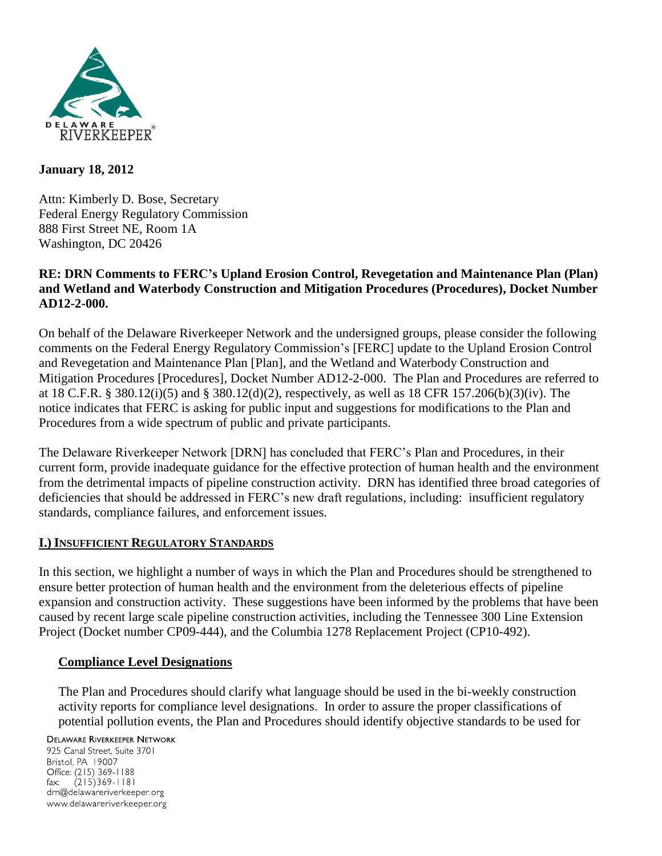

## **January 18, 2012**

Attn: Kimberly D. Bose, Secretary Federal Energy Regulatory Commission 888 First Street NE, Room 1A Washington, DC 20426

## **RE: DRN Comments to FERC's Upland Erosion Control, Revegetation and Maintenance Plan (Plan) and Wetland and Waterbody Construction and Mitigation Procedures (Procedures), Docket Number AD12-2-000.**

On behalf of the Delaware Riverkeeper Network and the undersigned groups, please consider the following comments on the Federal Energy Regulatory Commission's [FERC] update to the Upland Erosion Control and Revegetation and Maintenance Plan [Plan], and the Wetland and Waterbody Construction and Mitigation Procedures [Procedures], Docket Number AD12-2-000. The Plan and Procedures are referred to at 18 C.F.R. § 380.12(i)(5) and § 380.12(d)(2), respectively, as well as 18 CFR 157.206(b)(3)(iv). The notice indicates that FERC is asking for public input and suggestions for modifications to the Plan and Procedures from a wide spectrum of public and private participants.

The Delaware Riverkeeper Network [DRN] has concluded that FERC's Plan and Procedures, in their current form, provide inadequate guidance for the effective protection of human health and the environment from the detrimental impacts of pipeline construction activity. DRN has identified three broad categories of deficiencies that should be addressed in FERC's new draft regulations, including: insufficient regulatory standards, compliance failures, and enforcement issues.

# **I.) INSUFFICIENT REGULATORY STANDARDS**

In this section, we highlight a number of ways in which the Plan and Procedures should be strengthened to ensure better protection of human health and the environment from the deleterious effects of pipeline expansion and construction activity. These suggestions have been informed by the problems that have been caused by recent large scale pipeline construction activities, including the Tennessee 300 Line Extension Project (Docket number CP09-444), and the Columbia 1278 Replacement Project (CP10-492).

### **Compliance Level Designations**

The Plan and Procedures should clarify what language should be used in the bi-weekly construction activity reports for compliance level designations. In order to assure the proper classifications of potential pollution events, the Plan and Procedures should identify objective standards to be used for

**DELAWARE RIVERKEEPER NETWORK** 

925 Canal Street, Suite 3701 Bristol, PA 19007 Office: (215) 369-1188  $(215)369 - 1181$  $\mathsf{fax:}$ drn@delawareriverkeeper.org www.delawareriverkeeper.org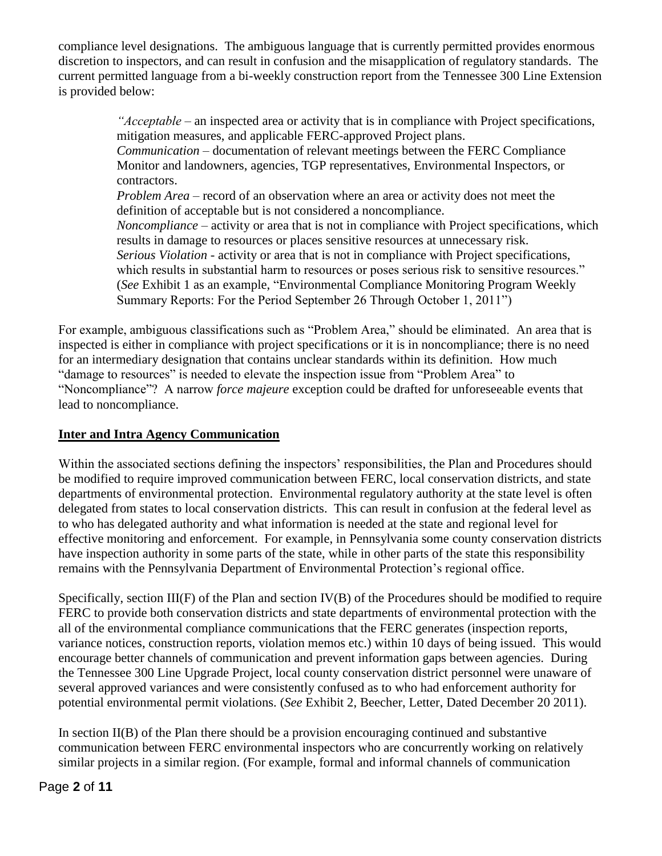compliance level designations. The ambiguous language that is currently permitted provides enormous discretion to inspectors, and can result in confusion and the misapplication of regulatory standards. The current permitted language from a bi-weekly construction report from the Tennessee 300 Line Extension is provided below:

> *"Acceptable* – an inspected area or activity that is in compliance with Project specifications, mitigation measures, and applicable FERC-approved Project plans.

*Communication* – documentation of relevant meetings between the FERC Compliance Monitor and landowners, agencies, TGP representatives, Environmental Inspectors, or contractors.

*Problem Area* – record of an observation where an area or activity does not meet the definition of acceptable but is not considered a noncompliance.

*Noncompliance* – activity or area that is not in compliance with Project specifications, which results in damage to resources or places sensitive resources at unnecessary risk.

*Serious Violation* - activity or area that is not in compliance with Project specifications, which results in substantial harm to resources or poses serious risk to sensitive resources." (*See* Exhibit 1 as an example, "Environmental Compliance Monitoring Program Weekly Summary Reports: For the Period September 26 Through October 1, 2011")

For example, ambiguous classifications such as "Problem Area," should be eliminated. An area that is inspected is either in compliance with project specifications or it is in noncompliance; there is no need for an intermediary designation that contains unclear standards within its definition. How much "damage to resources" is needed to elevate the inspection issue from "Problem Area" to "Noncompliance"? A narrow *force majeure* exception could be drafted for unforeseeable events that lead to noncompliance.

# **Inter and Intra Agency Communication**

Within the associated sections defining the inspectors' responsibilities, the Plan and Procedures should be modified to require improved communication between FERC, local conservation districts, and state departments of environmental protection. Environmental regulatory authority at the state level is often delegated from states to local conservation districts. This can result in confusion at the federal level as to who has delegated authority and what information is needed at the state and regional level for effective monitoring and enforcement. For example, in Pennsylvania some county conservation districts have inspection authority in some parts of the state, while in other parts of the state this responsibility remains with the Pennsylvania Department of Environmental Protection's regional office.

Specifically, section III(F) of the Plan and section IV(B) of the Procedures should be modified to require FERC to provide both conservation districts and state departments of environmental protection with the all of the environmental compliance communications that the FERC generates (inspection reports, variance notices, construction reports, violation memos etc.) within 10 days of being issued. This would encourage better channels of communication and prevent information gaps between agencies. During the Tennessee 300 Line Upgrade Project, local county conservation district personnel were unaware of several approved variances and were consistently confused as to who had enforcement authority for potential environmental permit violations. (*See* Exhibit 2, Beecher, Letter, Dated December 20 2011).

In section  $II(B)$  of the Plan there should be a provision encouraging continued and substantive communication between FERC environmental inspectors who are concurrently working on relatively similar projects in a similar region. (For example, formal and informal channels of communication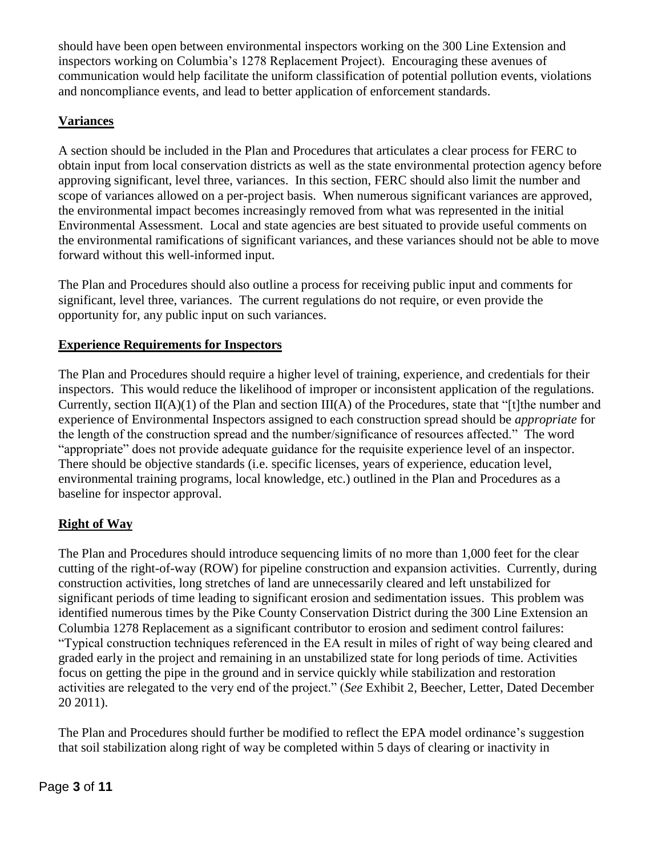should have been open between environmental inspectors working on the 300 Line Extension and inspectors working on Columbia's 1278 Replacement Project). Encouraging these avenues of communication would help facilitate the uniform classification of potential pollution events, violations and noncompliance events, and lead to better application of enforcement standards.

# **Variances**

A section should be included in the Plan and Procedures that articulates a clear process for FERC to obtain input from local conservation districts as well as the state environmental protection agency before approving significant, level three, variances. In this section, FERC should also limit the number and scope of variances allowed on a per-project basis. When numerous significant variances are approved, the environmental impact becomes increasingly removed from what was represented in the initial Environmental Assessment. Local and state agencies are best situated to provide useful comments on the environmental ramifications of significant variances, and these variances should not be able to move forward without this well-informed input.

The Plan and Procedures should also outline a process for receiving public input and comments for significant, level three, variances. The current regulations do not require, or even provide the opportunity for, any public input on such variances.

# **Experience Requirements for Inspectors**

The Plan and Procedures should require a higher level of training, experience, and credentials for their inspectors. This would reduce the likelihood of improper or inconsistent application of the regulations. Currently, section  $II(A)(1)$  of the Plan and section  $III(A)$  of the Procedures, state that "[t]the number and experience of Environmental Inspectors assigned to each construction spread should be *appropriate* for the length of the construction spread and the number/significance of resources affected." The word "appropriate" does not provide adequate guidance for the requisite experience level of an inspector. There should be objective standards (i.e. specific licenses, years of experience, education level, environmental training programs, local knowledge, etc.) outlined in the Plan and Procedures as a baseline for inspector approval.

# **Right of Way**

The Plan and Procedures should introduce sequencing limits of no more than 1,000 feet for the clear cutting of the right-of-way (ROW) for pipeline construction and expansion activities. Currently, during construction activities, long stretches of land are unnecessarily cleared and left unstabilized for significant periods of time leading to significant erosion and sedimentation issues. This problem was identified numerous times by the Pike County Conservation District during the 300 Line Extension an Columbia 1278 Replacement as a significant contributor to erosion and sediment control failures: "Typical construction techniques referenced in the EA result in miles of right of way being cleared and graded early in the project and remaining in an unstabilized state for long periods of time. Activities focus on getting the pipe in the ground and in service quickly while stabilization and restoration activities are relegated to the very end of the project." (*See* Exhibit 2, Beecher, Letter, Dated December 20 2011).

The Plan and Procedures should further be modified to reflect the EPA model ordinance's suggestion that soil stabilization along right of way be completed within 5 days of clearing or inactivity in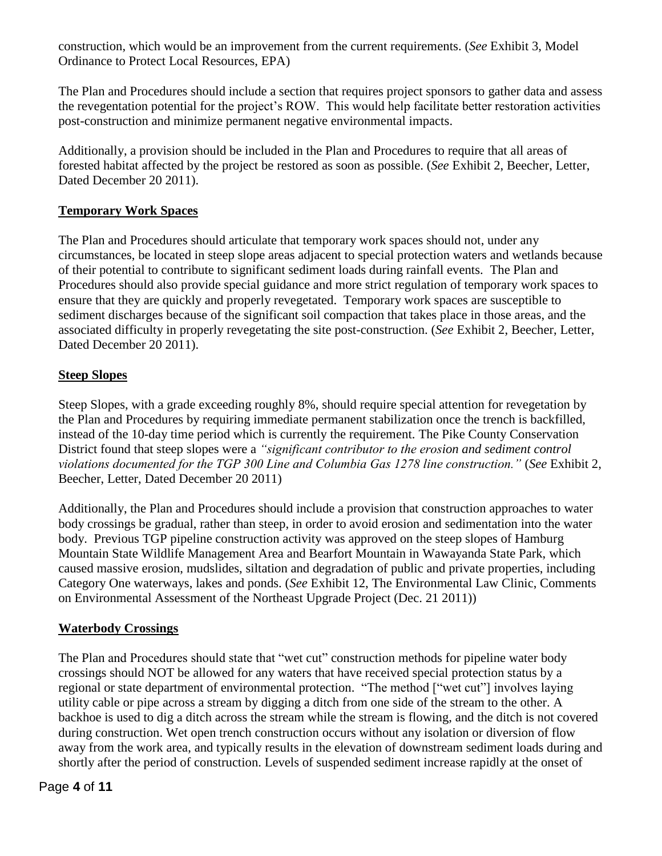construction, which would be an improvement from the current requirements. (*See* Exhibit 3, Model Ordinance to Protect Local Resources, EPA)

The Plan and Procedures should include a section that requires project sponsors to gather data and assess the revegentation potential for the project's ROW. This would help facilitate better restoration activities post-construction and minimize permanent negative environmental impacts.

Additionally, a provision should be included in the Plan and Procedures to require that all areas of forested habitat affected by the project be restored as soon as possible. (*See* Exhibit 2, Beecher, Letter, Dated December 20 2011).

## **Temporary Work Spaces**

The Plan and Procedures should articulate that temporary work spaces should not, under any circumstances, be located in steep slope areas adjacent to special protection waters and wetlands because of their potential to contribute to significant sediment loads during rainfall events. The Plan and Procedures should also provide special guidance and more strict regulation of temporary work spaces to ensure that they are quickly and properly revegetated. Temporary work spaces are susceptible to sediment discharges because of the significant soil compaction that takes place in those areas, and the associated difficulty in properly revegetating the site post-construction. (*See* Exhibit 2, Beecher, Letter, Dated December 20 2011).

### **Steep Slopes**

Steep Slopes, with a grade exceeding roughly 8%, should require special attention for revegetation by the Plan and Procedures by requiring immediate permanent stabilization once the trench is backfilled, instead of the 10-day time period which is currently the requirement. The Pike County Conservation District found that steep slopes were a *"significant contributor to the erosion and sediment control violations documented for the TGP 300 Line and Columbia Gas 1278 line construction."* (*See* Exhibit 2, Beecher, Letter, Dated December 20 2011)

Additionally, the Plan and Procedures should include a provision that construction approaches to water body crossings be gradual, rather than steep, in order to avoid erosion and sedimentation into the water body. Previous TGP pipeline construction activity was approved on the steep slopes of Hamburg Mountain State Wildlife Management Area and Bearfort Mountain in Wawayanda State Park, which caused massive erosion, mudslides, siltation and degradation of public and private properties, including Category One waterways, lakes and ponds. (*See* Exhibit 12, The Environmental Law Clinic, Comments on Environmental Assessment of the Northeast Upgrade Project (Dec. 21 2011))

### **Waterbody Crossings**

The Plan and Procedures should state that "wet cut" construction methods for pipeline water body crossings should NOT be allowed for any waters that have received special protection status by a regional or state department of environmental protection. "The method ["wet cut"] involves laying utility cable or pipe across a stream by digging a ditch from one side of the stream to the other. A backhoe is used to dig a ditch across the stream while the stream is flowing, and the ditch is not covered during construction. Wet open trench construction occurs without any isolation or diversion of flow away from the work area, and typically results in the elevation of downstream sediment loads during and shortly after the period of construction. Levels of suspended sediment increase rapidly at the onset of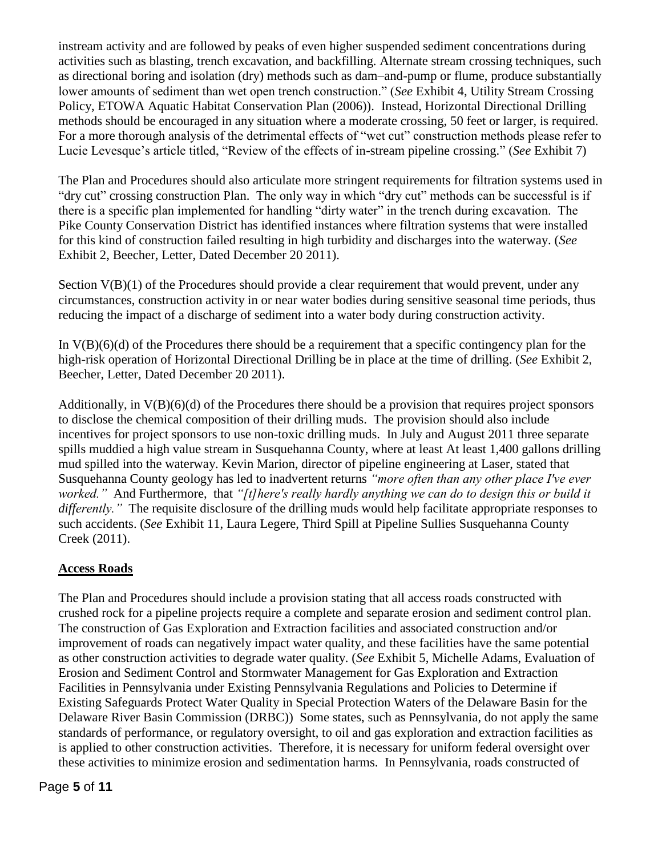instream activity and are followed by peaks of even higher suspended sediment concentrations during activities such as blasting, trench excavation, and backfilling. Alternate stream crossing techniques, such as directional boring and isolation (dry) methods such as dam–and-pump or flume, produce substantially lower amounts of sediment than wet open trench construction." (*See* Exhibit 4, Utility Stream Crossing Policy, ETOWA Aquatic Habitat Conservation Plan (2006)). Instead, Horizontal Directional Drilling methods should be encouraged in any situation where a moderate crossing, 50 feet or larger, is required. For a more thorough analysis of the detrimental effects of "wet cut" construction methods please refer to Lucie Levesque's article titled, "Review of the effects of in-stream pipeline crossing." (*See* Exhibit 7)

The Plan and Procedures should also articulate more stringent requirements for filtration systems used in "dry cut" crossing construction Plan. The only way in which "dry cut" methods can be successful is if there is a specific plan implemented for handling "dirty water" in the trench during excavation. The Pike County Conservation District has identified instances where filtration systems that were installed for this kind of construction failed resulting in high turbidity and discharges into the waterway. (*See* Exhibit 2, Beecher, Letter, Dated December 20 2011).

Section  $V(B)(1)$  of the Procedures should provide a clear requirement that would prevent, under any circumstances, construction activity in or near water bodies during sensitive seasonal time periods, thus reducing the impact of a discharge of sediment into a water body during construction activity.

In  $V(B)(6)(d)$  of the Procedures there should be a requirement that a specific contingency plan for the high-risk operation of Horizontal Directional Drilling be in place at the time of drilling. (*See* Exhibit 2, Beecher, Letter, Dated December 20 2011).

Additionally, in V(B)(6)(d) of the Procedures there should be a provision that requires project sponsors to disclose the chemical composition of their drilling muds. The provision should also include incentives for project sponsors to use non-toxic drilling muds. In July and August 2011 three separate spills muddied a high value stream in Susquehanna County, where at least At least 1,400 gallons drilling mud spilled into the waterway. Kevin Marion, director of pipeline engineering at Laser, stated that Susquehanna County geology has led to inadvertent returns *"more often than any other place I've ever worked."* And Furthermore, that *"[t]here's really hardly anything we can do to design this or build it differently.*" The requisite disclosure of the drilling muds would help facilitate appropriate responses to such accidents. (*See* Exhibit 11, Laura Legere, Third Spill at Pipeline Sullies Susquehanna County Creek (2011).

# **Access Roads**

The Plan and Procedures should include a provision stating that all access roads constructed with crushed rock for a pipeline projects require a complete and separate erosion and sediment control plan. The construction of Gas Exploration and Extraction facilities and associated construction and/or improvement of roads can negatively impact water quality, and these facilities have the same potential as other construction activities to degrade water quality. (*See* Exhibit 5, Michelle Adams, Evaluation of Erosion and Sediment Control and Stormwater Management for Gas Exploration and Extraction Facilities in Pennsylvania under Existing Pennsylvania Regulations and Policies to Determine if Existing Safeguards Protect Water Quality in Special Protection Waters of the Delaware Basin for the Delaware River Basin Commission (DRBC)) Some states, such as Pennsylvania, do not apply the same standards of performance, or regulatory oversight, to oil and gas exploration and extraction facilities as is applied to other construction activities. Therefore, it is necessary for uniform federal oversight over these activities to minimize erosion and sedimentation harms. In Pennsylvania, roads constructed of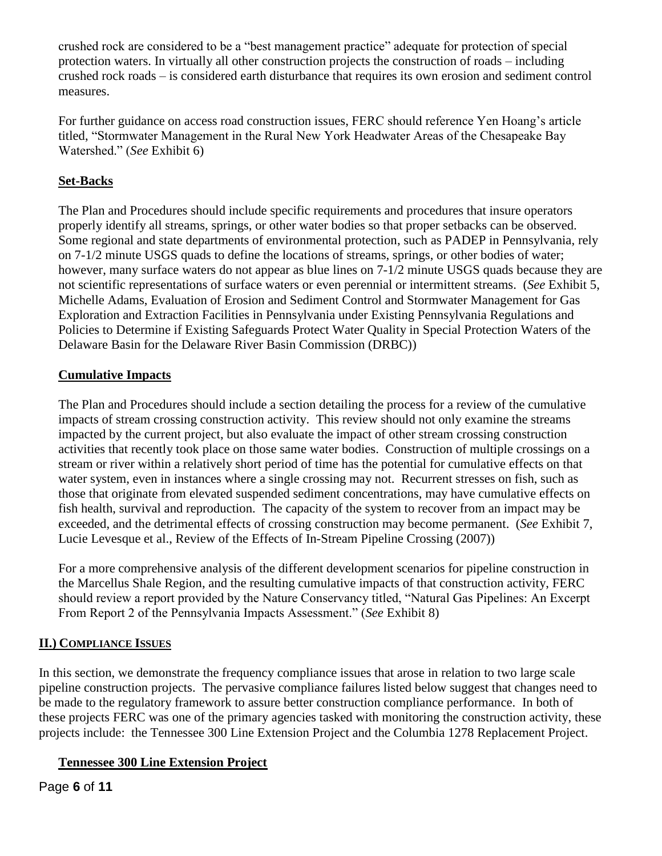crushed rock are considered to be a "best management practice" adequate for protection of special protection waters. In virtually all other construction projects the construction of roads – including crushed rock roads – is considered earth disturbance that requires its own erosion and sediment control measures.

For further guidance on access road construction issues, FERC should reference Yen Hoang's article titled, "Stormwater Management in the Rural New York Headwater Areas of the Chesapeake Bay Watershed." (*See* Exhibit 6)

# **Set-Backs**

The Plan and Procedures should include specific requirements and procedures that insure operators properly identify all streams, springs, or other water bodies so that proper setbacks can be observed. Some regional and state departments of environmental protection, such as PADEP in Pennsylvania, rely on 7-1/2 minute USGS quads to define the locations of streams, springs, or other bodies of water; however, many surface waters do not appear as blue lines on  $7-1/2$  minute USGS quads because they are not scientific representations of surface waters or even perennial or intermittent streams. (*See* Exhibit 5, Michelle Adams, Evaluation of Erosion and Sediment Control and Stormwater Management for Gas Exploration and Extraction Facilities in Pennsylvania under Existing Pennsylvania Regulations and Policies to Determine if Existing Safeguards Protect Water Quality in Special Protection Waters of the Delaware Basin for the Delaware River Basin Commission (DRBC))

### **Cumulative Impacts**

The Plan and Procedures should include a section detailing the process for a review of the cumulative impacts of stream crossing construction activity. This review should not only examine the streams impacted by the current project, but also evaluate the impact of other stream crossing construction activities that recently took place on those same water bodies. Construction of multiple crossings on a stream or river within a relatively short period of time has the potential for cumulative effects on that water system, even in instances where a single crossing may not. Recurrent stresses on fish, such as those that originate from elevated suspended sediment concentrations, may have cumulative effects on fish health, survival and reproduction. The capacity of the system to recover from an impact may be exceeded, and the detrimental effects of crossing construction may become permanent. (*See* Exhibit 7, Lucie Levesque et al., Review of the Effects of In-Stream Pipeline Crossing (2007))

For a more comprehensive analysis of the different development scenarios for pipeline construction in the Marcellus Shale Region, and the resulting cumulative impacts of that construction activity, FERC should review a report provided by the Nature Conservancy titled, "Natural Gas Pipelines: An Excerpt From Report 2 of the Pennsylvania Impacts Assessment." (*See* Exhibit 8)

### **II.) COMPLIANCE ISSUES**

In this section, we demonstrate the frequency compliance issues that arose in relation to two large scale pipeline construction projects. The pervasive compliance failures listed below suggest that changes need to be made to the regulatory framework to assure better construction compliance performance. In both of these projects FERC was one of the primary agencies tasked with monitoring the construction activity, these projects include: the Tennessee 300 Line Extension Project and the Columbia 1278 Replacement Project.

### **Tennessee 300 Line Extension Project**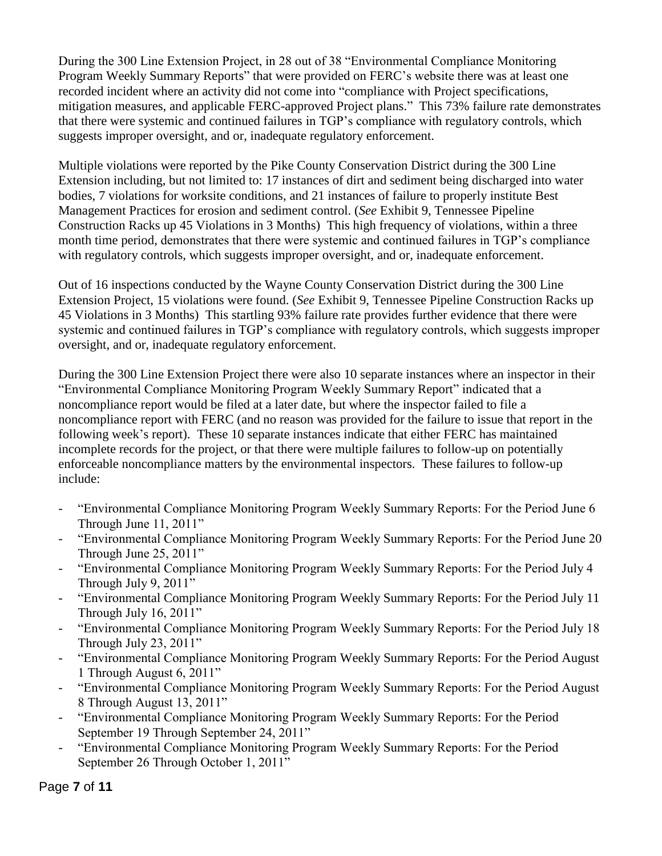During the 300 Line Extension Project, in 28 out of 38 "Environmental Compliance Monitoring Program Weekly Summary Reports" that were provided on FERC's website there was at least one recorded incident where an activity did not come into "compliance with Project specifications, mitigation measures, and applicable FERC-approved Project plans." This 73% failure rate demonstrates that there were systemic and continued failures in TGP's compliance with regulatory controls, which suggests improper oversight, and or, inadequate regulatory enforcement.

Multiple violations were reported by the Pike County Conservation District during the 300 Line Extension including, but not limited to: 17 instances of dirt and sediment being discharged into water bodies, 7 violations for worksite conditions, and 21 instances of failure to properly institute Best Management Practices for erosion and sediment control. (*See* Exhibit 9, Tennessee Pipeline Construction Racks up 45 Violations in 3 Months) This high frequency of violations, within a three month time period, demonstrates that there were systemic and continued failures in TGP's compliance with regulatory controls, which suggests improper oversight, and or, inadequate enforcement.

Out of 16 inspections conducted by the Wayne County Conservation District during the 300 Line Extension Project, 15 violations were found. (*See* Exhibit 9, Tennessee Pipeline Construction Racks up 45 Violations in 3 Months) This startling 93% failure rate provides further evidence that there were systemic and continued failures in TGP's compliance with regulatory controls, which suggests improper oversight, and or, inadequate regulatory enforcement.

During the 300 Line Extension Project there were also 10 separate instances where an inspector in their "Environmental Compliance Monitoring Program Weekly Summary Report" indicated that a noncompliance report would be filed at a later date, but where the inspector failed to file a noncompliance report with FERC (and no reason was provided for the failure to issue that report in the following week's report). These 10 separate instances indicate that either FERC has maintained incomplete records for the project, or that there were multiple failures to follow-up on potentially enforceable noncompliance matters by the environmental inspectors. These failures to follow-up include:

- "Environmental Compliance Monitoring Program Weekly Summary Reports: For the Period June 6 Through June 11, 2011"
- "Environmental Compliance Monitoring Program Weekly Summary Reports: For the Period June 20 Through June 25, 2011"
- "Environmental Compliance Monitoring Program Weekly Summary Reports: For the Period July 4 Through July 9, 2011"
- "Environmental Compliance Monitoring Program Weekly Summary Reports: For the Period July 11 Through July 16, 2011"
- "Environmental Compliance Monitoring Program Weekly Summary Reports: For the Period July 18 Through July 23, 2011"
- "Environmental Compliance Monitoring Program Weekly Summary Reports: For the Period August 1 Through August 6, 2011"
- "Environmental Compliance Monitoring Program Weekly Summary Reports: For the Period August 8 Through August 13, 2011"
- "Environmental Compliance Monitoring Program Weekly Summary Reports: For the Period September 19 Through September 24, 2011"
- "Environmental Compliance Monitoring Program Weekly Summary Reports: For the Period September 26 Through October 1, 2011"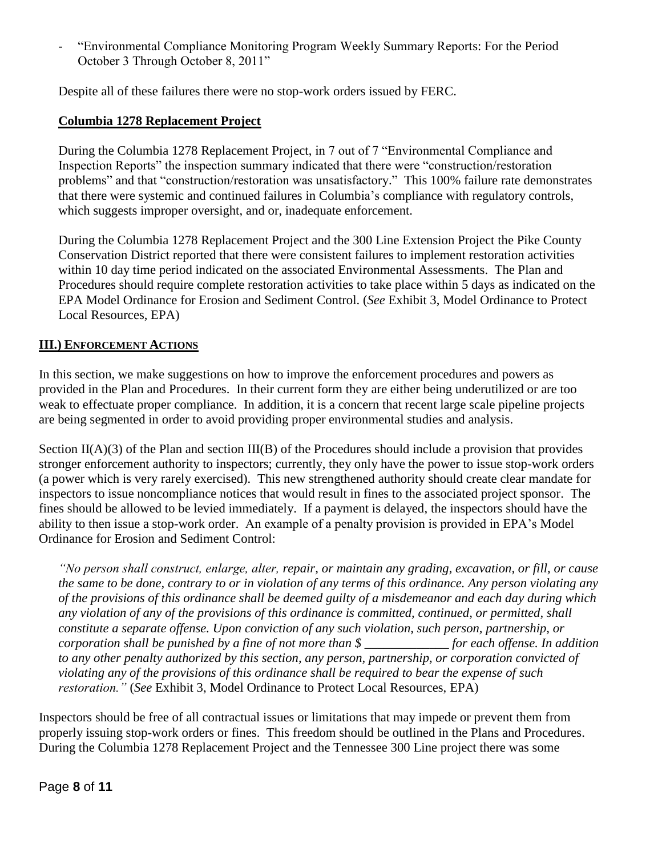- "Environmental Compliance Monitoring Program Weekly Summary Reports: For the Period October 3 Through October 8, 2011"

Despite all of these failures there were no stop-work orders issued by FERC.

## **Columbia 1278 Replacement Project**

During the Columbia 1278 Replacement Project, in 7 out of 7 "Environmental Compliance and Inspection Reports" the inspection summary indicated that there were "construction/restoration problems" and that "construction/restoration was unsatisfactory." This 100% failure rate demonstrates that there were systemic and continued failures in Columbia's compliance with regulatory controls, which suggests improper oversight, and or, inadequate enforcement.

During the Columbia 1278 Replacement Project and the 300 Line Extension Project the Pike County Conservation District reported that there were consistent failures to implement restoration activities within 10 day time period indicated on the associated Environmental Assessments. The Plan and Procedures should require complete restoration activities to take place within 5 days as indicated on the EPA Model Ordinance for Erosion and Sediment Control. (*See* Exhibit 3, Model Ordinance to Protect Local Resources, EPA)

### **III.) ENFORCEMENT ACTIONS**

In this section, we make suggestions on how to improve the enforcement procedures and powers as provided in the Plan and Procedures. In their current form they are either being underutilized or are too weak to effectuate proper compliance. In addition, it is a concern that recent large scale pipeline projects are being segmented in order to avoid providing proper environmental studies and analysis.

Section II(A)(3) of the Plan and section III(B) of the Procedures should include a provision that provides stronger enforcement authority to inspectors; currently, they only have the power to issue stop-work orders (a power which is very rarely exercised). This new strengthened authority should create clear mandate for inspectors to issue noncompliance notices that would result in fines to the associated project sponsor. The fines should be allowed to be levied immediately. If a payment is delayed, the inspectors should have the ability to then issue a stop-work order. An example of a penalty provision is provided in EPA's Model Ordinance for Erosion and Sediment Control:

*"No person shall construct, enlarge, alter, repair, or maintain any grading, excavation, or fill, or cause the same to be done, contrary to or in violation of any terms of this ordinance. Any person violating any of the provisions of this ordinance shall be deemed guilty of a misdemeanor and each day during which any violation of any of the provisions of this ordinance is committed, continued, or permitted, shall constitute a separate offense. Upon conviction of any such violation, such person, partnership, or corporation shall be punished by a fine of not more than \$ \_\_\_\_\_\_\_\_\_\_\_\_\_ for each offense. In addition to any other penalty authorized by this section, any person, partnership, or corporation convicted of violating any of the provisions of this ordinance shall be required to bear the expense of such restoration."* (*See* Exhibit 3, Model Ordinance to Protect Local Resources, EPA)

Inspectors should be free of all contractual issues or limitations that may impede or prevent them from properly issuing stop-work orders or fines. This freedom should be outlined in the Plans and Procedures. During the Columbia 1278 Replacement Project and the Tennessee 300 Line project there was some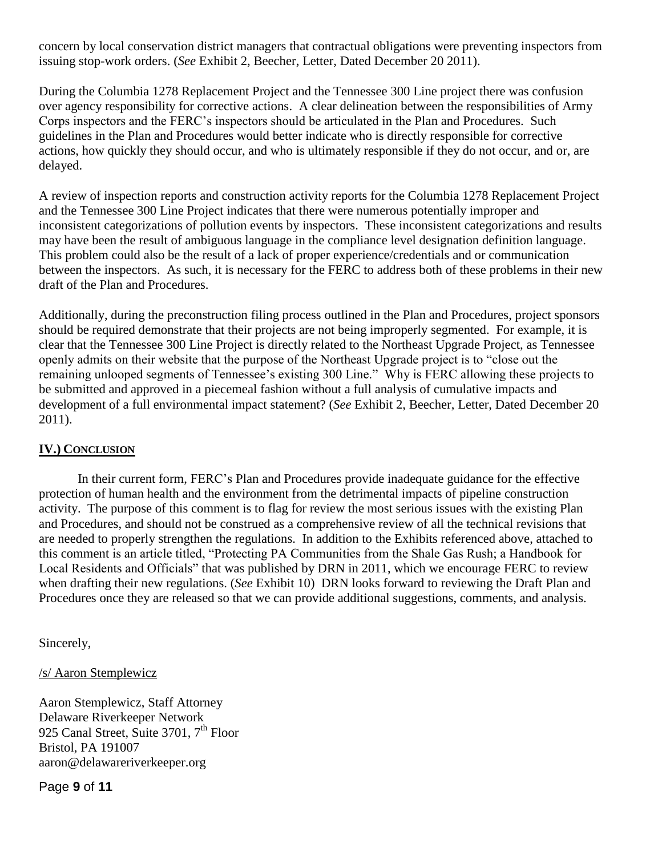concern by local conservation district managers that contractual obligations were preventing inspectors from issuing stop-work orders. (*See* Exhibit 2, Beecher, Letter, Dated December 20 2011).

During the Columbia 1278 Replacement Project and the Tennessee 300 Line project there was confusion over agency responsibility for corrective actions. A clear delineation between the responsibilities of Army Corps inspectors and the FERC's inspectors should be articulated in the Plan and Procedures. Such guidelines in the Plan and Procedures would better indicate who is directly responsible for corrective actions, how quickly they should occur, and who is ultimately responsible if they do not occur, and or, are delayed.

A review of inspection reports and construction activity reports for the Columbia 1278 Replacement Project and the Tennessee 300 Line Project indicates that there were numerous potentially improper and inconsistent categorizations of pollution events by inspectors. These inconsistent categorizations and results may have been the result of ambiguous language in the compliance level designation definition language. This problem could also be the result of a lack of proper experience/credentials and or communication between the inspectors. As such, it is necessary for the FERC to address both of these problems in their new draft of the Plan and Procedures.

Additionally, during the preconstruction filing process outlined in the Plan and Procedures, project sponsors should be required demonstrate that their projects are not being improperly segmented. For example, it is clear that the Tennessee 300 Line Project is directly related to the Northeast Upgrade Project, as Tennessee openly admits on their website that the purpose of the Northeast Upgrade project is to "close out the remaining unlooped segments of Tennessee's existing 300 Line." Why is FERC allowing these projects to be submitted and approved in a piecemeal fashion without a full analysis of cumulative impacts and development of a full environmental impact statement? (*See* Exhibit 2, Beecher, Letter, Dated December 20 2011).

#### **IV.) CONCLUSION**

In their current form, FERC's Plan and Procedures provide inadequate guidance for the effective protection of human health and the environment from the detrimental impacts of pipeline construction activity. The purpose of this comment is to flag for review the most serious issues with the existing Plan and Procedures, and should not be construed as a comprehensive review of all the technical revisions that are needed to properly strengthen the regulations. In addition to the Exhibits referenced above, attached to this comment is an article titled, "Protecting PA Communities from the Shale Gas Rush; a Handbook for Local Residents and Officials" that was published by DRN in 2011, which we encourage FERC to review when drafting their new regulations. (*See* Exhibit 10) DRN looks forward to reviewing the Draft Plan and Procedures once they are released so that we can provide additional suggestions, comments, and analysis.

Sincerely,

#### /s/ Aaron Stemplewicz

Aaron Stemplewicz, Staff Attorney Delaware Riverkeeper Network 925 Canal Street, Suite  $3701$ ,  $7<sup>th</sup>$  Floor Bristol, PA 191007 aaron@delawareriverkeeper.org

Page **9** of **11**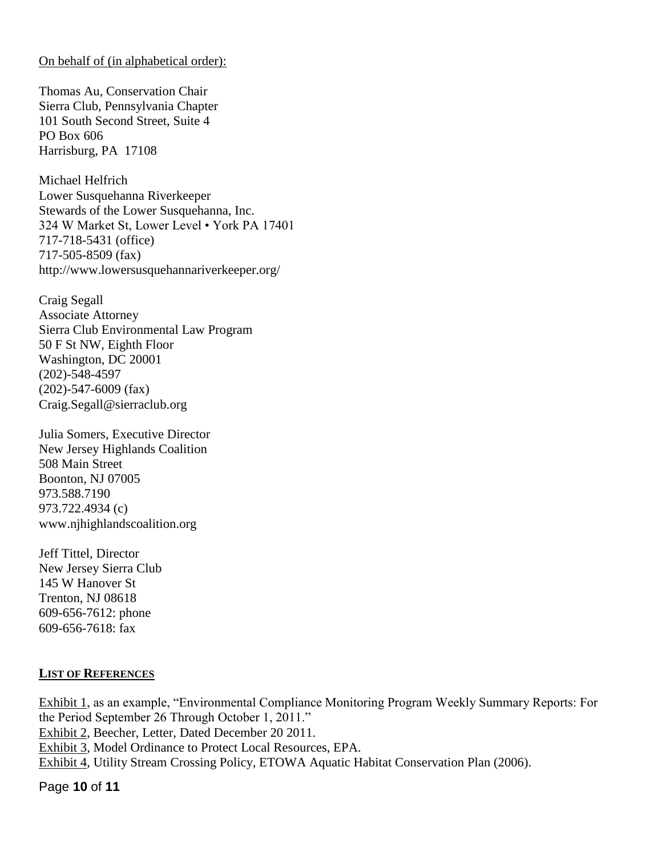On behalf of (in alphabetical order):

Thomas Au, Conservation Chair Sierra Club, Pennsylvania Chapter 101 South Second Street, Suite 4 PO Box 606 Harrisburg, PA 17108

Michael Helfrich Lower Susquehanna Riverkeeper Stewards of the Lower Susquehanna, Inc. 324 W Market St, Lower Level • York PA 17401 717-718-5431 (office) 717-505-8509 (fax) <http://www.lowersusquehannariverkeeper.org/>

Craig Segall Associate Attorney Sierra Club Environmental Law Program 50 F St NW, Eighth Floor Washington, DC 20001 (202)-548-4597 (202)-547-6009 (fax) [Craig.Segall@sierraclub.org](mailto:Craig.Segall@sierraclub.org)

Julia Somers, Executive Director New Jersey Highlands Coalition 508 Main Street Boonton, NJ 07005 973.588.7190 973.722.4934 (c) [www.njhighlandscoalition.org](http://www.njhighlandscoalition.org/)

Jeff Tittel, Director New Jersey Sierra Club 145 W Hanover St Trenton, NJ 08618 609-656-7612: phone 609-656-7618: fax

#### **LIST OF REFERENCES**

Exhibit 1, as an example, "Environmental Compliance Monitoring Program Weekly Summary Reports: For the Period September 26 Through October 1, 2011." Exhibit 2, Beecher, Letter, Dated December 20 2011. Exhibit 3, Model Ordinance to Protect Local Resources, EPA. Exhibit 4, Utility Stream Crossing Policy, ETOWA Aquatic Habitat Conservation Plan (2006).

Page **10** of **11**